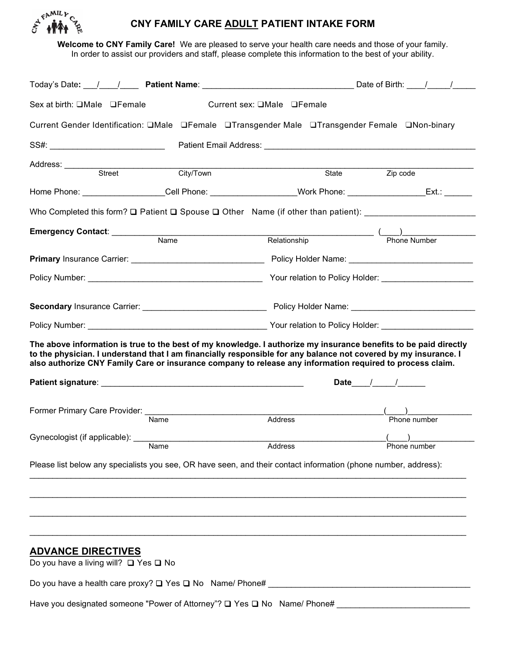

# **CNY FAMILY CARE ADULT PATIENT INTAKE FORM**

**Welcome to CNY Family Care!** We are pleased to serve your health care needs and those of your family. In order to assist our providers and staff, please complete this information to the best of your ability.

| Sex at birth: □Male □Female                                                                                                                                                                                                                                                                                                                      |           | Current sex: □Male □Female |                                                                                                                                                                                                                                |
|--------------------------------------------------------------------------------------------------------------------------------------------------------------------------------------------------------------------------------------------------------------------------------------------------------------------------------------------------|-----------|----------------------------|--------------------------------------------------------------------------------------------------------------------------------------------------------------------------------------------------------------------------------|
| Current Gender Identification: □Male □Female □Transgender Male □Transgender Female □Non-binary                                                                                                                                                                                                                                                   |           |                            |                                                                                                                                                                                                                                |
|                                                                                                                                                                                                                                                                                                                                                  |           |                            | Patient Email Address: No. 1996. The Contract of the Contract of the Contract of the Contract of the Contract of the Contract of the Contract of the Contract of the Contract of the Contract of the Contract of the Contract  |
| Address: Street                                                                                                                                                                                                                                                                                                                                  | City/Town |                            | State <b>Zip</b> code                                                                                                                                                                                                          |
| Home Phone: ____________________Cell Phone: ____________________Work Phone: ____________________Ext.: _______                                                                                                                                                                                                                                    |           |                            |                                                                                                                                                                                                                                |
| Who Completed this form? Q Patient Q Spouse Q Other Name (if other than patient): ________________________                                                                                                                                                                                                                                       |           |                            |                                                                                                                                                                                                                                |
| Emergency Contact: Name                                                                                                                                                                                                                                                                                                                          |           |                            |                                                                                                                                                                                                                                |
|                                                                                                                                                                                                                                                                                                                                                  |           |                            | Relationship (Department of the Number of Thomas Number of Thomas Number of Thomas Number of Thomas Number of Thomas Number of Thomas Number of Thomas Number of Thomas Number of Thomas Number of Thomas Number of Thomas Num |
| Primary Insurance Carrier: National Policy Holder Name: Name: Name: Name: Name: Name: Name: Name: Name: Name: Name: Name: Name: Name: Name: Name: Name: Name: Name: Name: Name: Name: Name: Name: Name: Name: Name: Name: Name                                                                                                                   |           |                            |                                                                                                                                                                                                                                |
|                                                                                                                                                                                                                                                                                                                                                  |           |                            |                                                                                                                                                                                                                                |
|                                                                                                                                                                                                                                                                                                                                                  |           |                            |                                                                                                                                                                                                                                |
|                                                                                                                                                                                                                                                                                                                                                  |           |                            |                                                                                                                                                                                                                                |
| The above information is true to the best of my knowledge. I authorize my insurance benefits to be paid directly<br>to the physician. I understand that I am financially responsible for any balance not covered by my insurance. I<br>also authorize CNY Family Care or insurance company to release any information required to process claim. |           |                            | Date $\frac{1}{\sqrt{2}}$                                                                                                                                                                                                      |
| Former Primary Care Provider: Mame                                                                                                                                                                                                                                                                                                               |           |                            |                                                                                                                                                                                                                                |
|                                                                                                                                                                                                                                                                                                                                                  |           | Address                    | Phone number                                                                                                                                                                                                                   |
| Gynecologist (if applicable): Name Address                                                                                                                                                                                                                                                                                                       |           |                            |                                                                                                                                                                                                                                |
| Please list below any specialists you see, OR have seen, and their contact information (phone number, address):                                                                                                                                                                                                                                  |           |                            |                                                                                                                                                                                                                                |
|                                                                                                                                                                                                                                                                                                                                                  |           |                            |                                                                                                                                                                                                                                |
| <b>ADVANCE DIRECTIVES</b><br>Do you have a living will? □ Yes □ No                                                                                                                                                                                                                                                                               |           |                            |                                                                                                                                                                                                                                |
|                                                                                                                                                                                                                                                                                                                                                  |           |                            |                                                                                                                                                                                                                                |
| Have you designated someone "Power of Attorney"? Q Yes Q No Name/ Phone# ___________________________                                                                                                                                                                                                                                             |           |                            |                                                                                                                                                                                                                                |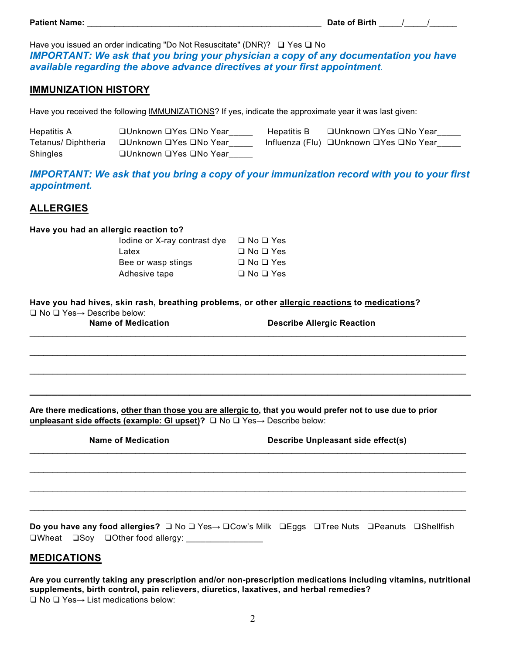Have you issued an order indicating "Do Not Resuscitate" (DNR)? ❑ Yes ❑ No *IMPORTANT: We ask that you bring your physician a copy of any documentation you have available regarding the above advance directives at your first appointment*.

## **IMMUNIZATION HISTORY**

Have you received the following **IMMUNIZATIONS?** If yes, indicate the approximate year it was last given:

| <b>Hepatitis A</b> | □Unknown □Yes □No Year | Hepatitis B | □Unknown ❑Yes ❑No Year                 |
|--------------------|------------------------|-------------|----------------------------------------|
| Tetanus/Diphtheria |                        |             | Influenza (Flu) □Unknown □Yes □No Year |
| <b>Shingles</b>    | □Unknown □Yes □No Year |             |                                        |

*IMPORTANT: We ask that you bring a copy of your immunization record with you to your first appointment.*

# **ALLERGIES**

### **Have you had an allergic reaction to?**

| lodine or X-ray contrast dye | $\Box$ No $\Box$ Yes |
|------------------------------|----------------------|
| Latex                        | $\Box$ No $\Box$ Yes |
| Bee or wasp stings           | $\Box$ No $\Box$ Yes |
| Adhesive tape                | $\Box$ No $\Box$ Yes |

| Have you had hives, skin rash, breathing problems, or other allergic reactions to medications? |  |  |
|------------------------------------------------------------------------------------------------|--|--|
| $\Box$ No $\Box$ Yes $\rightarrow$ Describe below:                                             |  |  |

\_\_\_\_\_\_\_\_\_\_\_\_\_\_\_\_\_\_\_\_\_\_\_\_\_\_\_\_\_\_\_\_\_\_\_\_\_\_\_\_\_\_\_\_\_\_\_\_\_\_\_\_\_\_\_\_\_\_\_\_\_\_\_\_\_\_\_\_\_\_\_\_\_\_\_\_\_\_\_\_\_\_\_\_\_\_\_\_\_\_\_\_\_\_\_

\_\_\_\_\_\_\_\_\_\_\_\_\_\_\_\_\_\_\_\_\_\_\_\_\_\_\_\_\_\_\_\_\_\_\_\_\_\_\_\_\_\_\_\_\_\_\_\_\_\_\_\_\_\_\_\_\_\_\_\_\_\_\_\_\_\_\_\_\_\_\_\_\_\_\_\_\_\_\_\_\_\_\_\_\_\_\_\_\_\_\_\_\_\_\_

\_\_\_\_\_\_\_\_\_\_\_\_\_\_\_\_\_\_\_\_\_\_\_\_\_\_\_\_\_\_\_\_\_\_\_\_\_\_\_\_\_\_\_\_\_\_\_\_\_\_\_\_\_\_\_\_\_\_\_\_\_\_\_\_\_\_\_\_\_\_\_\_\_\_\_\_\_\_\_\_\_\_\_\_\_\_\_\_\_\_\_\_\_\_\_

*\_\_\_\_\_\_\_\_\_\_\_\_\_\_\_\_\_\_\_\_\_\_\_\_\_\_\_\_\_\_\_\_\_\_\_\_\_\_\_\_\_\_\_\_\_\_\_\_\_\_\_\_\_\_\_\_\_\_\_\_\_\_\_\_\_\_\_\_\_\_\_\_\_\_\_\_\_\_\_\_*

\_\_\_\_\_\_\_\_\_\_\_\_\_\_\_\_\_\_\_\_\_\_\_\_\_\_\_\_\_\_\_\_\_\_\_\_\_\_\_\_\_\_\_\_\_\_\_\_\_\_\_\_\_\_\_\_\_\_\_\_\_\_\_\_\_\_\_\_\_\_\_\_\_\_\_\_\_\_\_\_\_\_\_\_\_\_\_\_\_\_\_\_\_\_\_

\_\_\_\_\_\_\_\_\_\_\_\_\_\_\_\_\_\_\_\_\_\_\_\_\_\_\_\_\_\_\_\_\_\_\_\_\_\_\_\_\_\_\_\_\_\_\_\_\_\_\_\_\_\_\_\_\_\_\_\_\_\_\_\_\_\_\_\_\_\_\_\_\_\_\_\_\_\_\_\_\_\_\_\_\_\_\_\_\_\_\_\_\_\_\_

\_\_\_\_\_\_\_\_\_\_\_\_\_\_\_\_\_\_\_\_\_\_\_\_\_\_\_\_\_\_\_\_\_\_\_\_\_\_\_\_\_\_\_\_\_\_\_\_\_\_\_\_\_\_\_\_\_\_\_\_\_\_\_\_\_\_\_\_\_\_\_\_\_\_\_\_\_\_\_\_\_\_\_\_\_\_\_\_\_\_\_\_\_\_\_

\_\_\_\_\_\_\_\_\_\_\_\_\_\_\_\_\_\_\_\_\_\_\_\_\_\_\_\_\_\_\_\_\_\_\_\_\_\_\_\_\_\_\_\_\_\_\_\_\_\_\_\_\_\_\_\_\_\_\_\_\_\_\_\_\_\_\_\_\_\_\_\_\_\_\_\_\_\_\_\_\_\_\_\_\_\_\_\_\_\_\_\_\_\_\_

**Name of Medication Describe Allergic Reaction** 

**Are there medications, other than those you are allergic to, that you would prefer not to use due to prior unpleasant side effects (example: GI upset)?** ❑ No ❑ Yes→ Describe below:

|  | <b>Name of Medication</b> |
|--|---------------------------|
|  |                           |

**Describe Unpleasant side effect(s)** 

**Do you have any food allergies?** ❑ No ❑ Yes→ ❑Cow's Milk ❑Eggs ❑Tree Nuts ❑Peanuts ❑Shellfish ❑Wheat ❑Soy ❑Other food allergy: \_\_\_\_\_\_\_\_\_\_\_\_\_\_\_\_

## **MEDICATIONS**

**Are you currently taking any prescription and/or non-prescription medications including vitamins, nutritional supplements, birth control, pain relievers, diuretics, laxatives, and herbal remedies?** ❑ No ❑ Yes→ List medications below: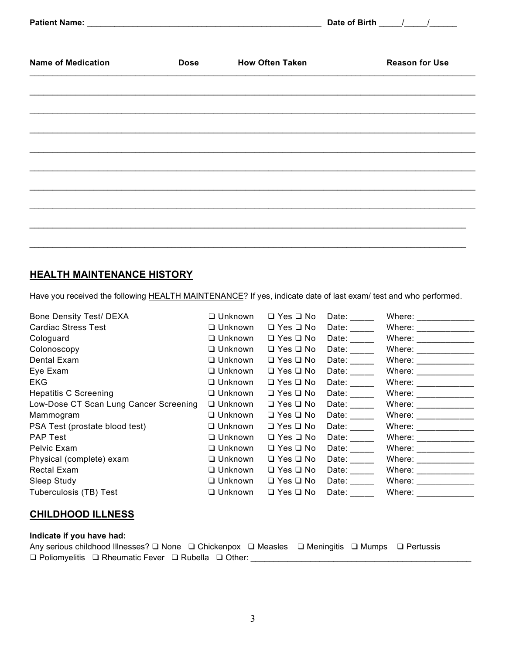|                           |             |                        | Date of Birth         |
|---------------------------|-------------|------------------------|-----------------------|
| <b>Name of Medication</b> | <b>Dose</b> | <b>How Often Taken</b> | <b>Reason for Use</b> |
|                           |             |                        |                       |
|                           |             |                        |                       |
|                           |             |                        |                       |
|                           |             |                        |                       |
|                           |             |                        |                       |
|                           |             |                        |                       |

# **HEALTH MAINTENANCE HISTORY**

Have you received the following HEALTH MAINTENANCE? If yes, indicate date of last exam/ test and who performed.

| <b>Bone Density Test/ DEXA</b>         | $\Box$ Unknown | $\Box$ Yes $\Box$ No | Date:                 | Where: $\_\_$        |
|----------------------------------------|----------------|----------------------|-----------------------|----------------------|
| <b>Cardiac Stress Test</b>             | $\Box$ Unknown | $\Box$ Yes $\Box$ No | Date: Date:           | Where: _____________ |
| Cologuard                              | $\Box$ Unknown | $\Box$ Yes $\Box$ No | Date:                 | Where: Where:        |
| Colonoscopy                            | $\Box$ Unknown | $\Box$ Yes $\Box$ No | Date: Date:           | Where: ___________   |
| Dental Exam                            | $\Box$ Unknown | $\Box$ Yes $\Box$ No | Date: Date:           | Where: Where:        |
| Eye Exam                               | $\Box$ Unknown | $\Box$ Yes $\Box$ No | Date:                 | Where: __________    |
| EKG.                                   | $\Box$ Unknown | $\Box$ Yes $\Box$ No | Date:                 | Where: ____________  |
| <b>Hepatitis C Screening</b>           | $\Box$ Unknown | $\Box$ Yes $\Box$ No | Date: $\frac{1}{2}$   | Where: _____________ |
| Low-Dose CT Scan Lung Cancer Screening | $\Box$ Unknown | $\Box$ Yes $\Box$ No | Date: $\_\_$          | Where: _____________ |
| Mammogram                              | $\Box$ Unknown | $\Box$ Yes $\Box$ No | Date: Date:           | Where: _____________ |
| PSA Test (prostate blood test)         | $\Box$ Unknown | $\Box$ Yes $\Box$ No | Date: $\qquad \qquad$ | Where: _____________ |
| <b>PAP Test</b>                        | $\Box$ Unknown | $\Box$ Yes $\Box$ No | Date: $\qquad \qquad$ | Where: _____________ |
| Pelvic Exam                            | $\Box$ Unknown | $\Box$ Yes $\Box$ No | Date: Date:           | Where: _____________ |
| Physical (complete) exam               | $\Box$ Unknown | $\Box$ Yes $\Box$ No | Date: Date:           | Where: ____________  |
| Rectal Exam                            | $\Box$ Unknown | $\Box$ Yes $\Box$ No | Date: $\qquad \qquad$ | Where: _____________ |
| Sleep Study                            | $\Box$ Unknown | $\Box$ Yes $\Box$ No | Date:                 | Where: $\_\_$        |
| Tuberculosis (TB) Test                 | $\Box$ Unknown | $\Box$ Yes $\Box$ No | Date:                 | Where:               |

# **CHILDHOOD ILLNESS**

### **Indicate if you have had:**

Any serious childhood Illnesses? ❑ None ❑ Chickenpox ❑ Measles ❑ Meningitis ❑ Mumps ❑ Pertussis ❑ Poliomyelitis ❑ Rheumatic Fever ❑ Rubella ❑ Other: \_\_\_\_\_\_\_\_\_\_\_\_\_\_\_\_\_\_\_\_\_\_\_\_\_\_\_\_\_\_\_\_\_\_\_\_\_\_\_\_\_\_\_\_\_\_\_\_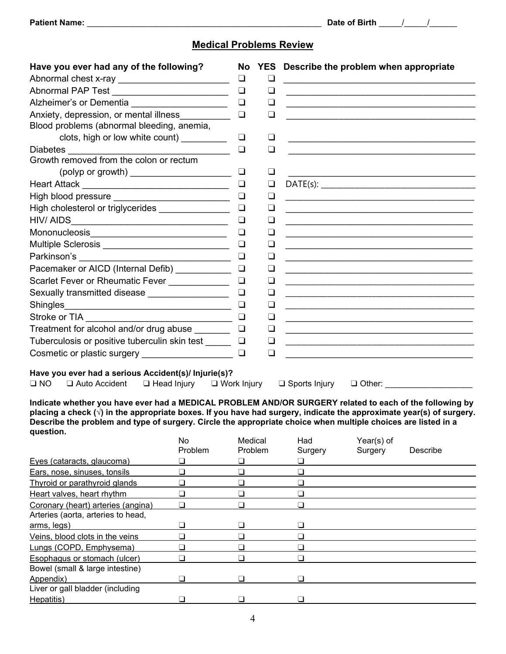# **Medical Problems Review**

| Have you ever had any of the following?                                                                                       |             | No               |        | YES Describe the problem when appropriate |                                                                    |                                                                     |
|-------------------------------------------------------------------------------------------------------------------------------|-------------|------------------|--------|-------------------------------------------|--------------------------------------------------------------------|---------------------------------------------------------------------|
| Abnormal chest x-ray __________________________                                                                               |             | $\Box$           | ⊔      |                                           |                                                                    |                                                                     |
| Abnormal PAP Test _________________________                                                                                   |             | $\Box$           | $\Box$ |                                           | <u> 1989 - John Stein, Amerikaansk politiker (* 1918)</u>          |                                                                     |
| Alzheimer's or Dementia ______________________                                                                                |             | $\Box$           | $\Box$ |                                           |                                                                    | <u> 1989 - Johann John Stone, Amerikaansk politiker (* 1908)</u>    |
| Anxiety, depression, or mental illness<br>                                                                                    |             | $\Box$           | ❏      |                                           | <u> 1980 - Jan Barnett, fransk politik (f. 1980)</u>               |                                                                     |
| Blood problems (abnormal bleeding, anemia,                                                                                    |             |                  |        |                                           |                                                                    |                                                                     |
| clots, high or low white count) _________                                                                                     |             | $\Box$           | $\Box$ |                                           |                                                                    |                                                                     |
|                                                                                                                               |             | $\Box$           | $\Box$ |                                           | <u> 1989 - Johann Stein, mars an de Francisco Barbara (</u>        |                                                                     |
| Growth removed from the colon or rectum                                                                                       |             |                  |        |                                           |                                                                    |                                                                     |
|                                                                                                                               |             | $\Box$           | $\Box$ |                                           |                                                                    |                                                                     |
| Heart Attack ___________________________________                                                                              |             | $\Box$           | $\Box$ |                                           |                                                                    |                                                                     |
| High blood pressure ___________________________                                                                               |             | $\Box$           | $\Box$ |                                           |                                                                    |                                                                     |
| High cholesterol or triglycerides _______________                                                                             |             | $\Box$           | ❏      |                                           |                                                                    | <u> 1989 - Johann Barbara, martxa alemaniar arg</u>                 |
| HIV/AIDS                                                                                                                      |             | $\Box$           | ❏      |                                           |                                                                    |                                                                     |
|                                                                                                                               |             | ❏                | ❏      |                                           |                                                                    |                                                                     |
| Multiple Sclerosis _____________________________                                                                              |             | $\Box$           | ❏      |                                           |                                                                    |                                                                     |
| Parkinson's _______________________________                                                                                   |             | $\Box$           | ❏      |                                           |                                                                    | <u> 1989 - Johann Stein, mars an deus Amerikaansk kommunister (</u> |
| Pacemaker or AICD (Internal Defib) ___________                                                                                |             | $\Box$           | $\Box$ |                                           | <u> 1989 - Jan Samuel Barbara, margaret eta idazlea (h. 1989).</u> |                                                                     |
| Scarlet Fever or Rheumatic Fever ____________                                                                                 |             | $\Box$           | ❏      |                                           |                                                                    |                                                                     |
| Sexually transmitted disease _________________                                                                                |             | $\Box$           | $\Box$ |                                           |                                                                    |                                                                     |
|                                                                                                                               |             | $\Box$           |        |                                           |                                                                    |                                                                     |
|                                                                                                                               |             |                  | ❏      |                                           |                                                                    |                                                                     |
|                                                                                                                               |             |                  | ❏      |                                           |                                                                    | <u> 1989 - Johann Barnett, fransk politiker (d. 1989)</u>           |
|                                                                                                                               |             |                  | ❏      |                                           |                                                                    |                                                                     |
| Tuberculosis or positive tuberculin skin test ______ __                                                                       |             |                  | ❏      |                                           |                                                                    |                                                                     |
|                                                                                                                               |             |                  | $\Box$ |                                           |                                                                    | <u> 1989 - Andrea Stadt Britain, fransk politik (d. 1989)</u>       |
| Have you ever had a serious Accident(s)/ Injurie(s)?                                                                          |             |                  |        |                                           |                                                                    |                                                                     |
| $\square$ NO<br>$\Box$ Auto Accident $\Box$ Head Injury $\Box$ Work Injury                                                    |             |                  |        |                                           |                                                                    | $\Box$ Sports Injury $\Box$ Other:                                  |
|                                                                                                                               |             |                  |        |                                           |                                                                    |                                                                     |
| Indicate whether you have ever had a MEDICAL PROBLEM AND/OR SURGERY related to each of the following by                       |             |                  |        |                                           |                                                                    |                                                                     |
| placing a check $(\sqrt{ } )$ in the appropriate boxes. If you have had surgery, indicate the approximate year(s) of surgery. |             |                  |        |                                           |                                                                    |                                                                     |
| Describe the problem and type of surgery. Circle the appropriate choice when multiple choices are listed in a<br>question.    |             |                  |        |                                           |                                                                    |                                                                     |
|                                                                                                                               | No          | Medical          |        | Had                                       | Year(s) of                                                         |                                                                     |
|                                                                                                                               | Problem     | Problem          |        | Surgery                                   | Surgery                                                            | Describe                                                            |
| Eyes (cataracts, glaucoma)                                                                                                    | $\Box$      | $\Box$           |        | $\Box$                                    |                                                                    |                                                                     |
| Ears, nose, sinuses, tonsils                                                                                                  | $\Box$      | $\Box$           |        | $\Box$                                    |                                                                    |                                                                     |
| Thyroid or parathyroid glands                                                                                                 | ❏           | $\Box$           |        | $\Box$                                    |                                                                    |                                                                     |
| Heart valves, heart rhythm                                                                                                    | $\Box$      | $\Box$           |        | $\Box$                                    |                                                                    |                                                                     |
| Coronary (heart) arteries (angina)                                                                                            | $\Box$      | $\Box$           |        | $\Box$                                    |                                                                    |                                                                     |
| Arteries (aorta, arteries to head,                                                                                            |             |                  |        |                                           |                                                                    |                                                                     |
| arms, legs)<br>Veins, blood clots in the veins                                                                                | ⊔           | ❏                |        | ❏                                         |                                                                    |                                                                     |
|                                                                                                                               | $\Box$<br>□ | $\Box$<br>$\Box$ |        | $\Box$<br>$\Box$                          |                                                                    |                                                                     |
| Lungs (COPD, Emphysema)<br><b>Esophagus or stomach (ulcer)</b>                                                                | $\Box$      | $\Box$           |        | $\Box$                                    |                                                                    |                                                                     |
| Bowel (small & large intestine)                                                                                               |             |                  |        |                                           |                                                                    |                                                                     |
| Appendix)                                                                                                                     | $\Box$      | $\Box$           |        | $\Box$                                    |                                                                    |                                                                     |
| Liver or gall bladder (including                                                                                              |             |                  |        |                                           |                                                                    |                                                                     |
| Hepatitis)                                                                                                                    |             | □                |        | $\Box$                                    |                                                                    |                                                                     |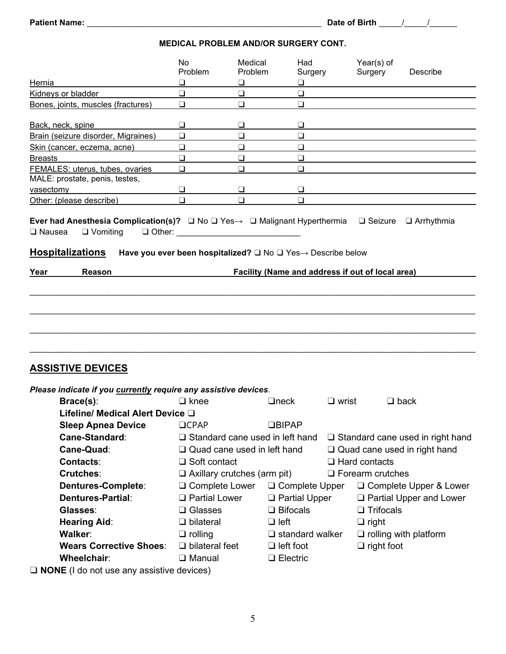**MEDICAL PROBLEM AND/OR SURGERY CONT.**

|                                                                 | No.<br>Problem        | Medical<br>Problem                 | Had<br>Surgery                                                                           |                 | Year(s) of<br>Surgery   | Describe                                |
|-----------------------------------------------------------------|-----------------------|------------------------------------|------------------------------------------------------------------------------------------|-----------------|-------------------------|-----------------------------------------|
| Hernia                                                          | ❏                     | ❏                                  | ❏                                                                                        |                 |                         |                                         |
| Kidneys or bladder                                              | $\Box$                | $\Box$                             | $\Box$                                                                                   |                 |                         |                                         |
| Bones, joints, muscles (fractures)                              | $\Box$                | $\Box$                             | $\Box$                                                                                   |                 |                         |                                         |
| Back, neck, spine                                               | ❏                     | ⊔                                  | ❏                                                                                        |                 |                         |                                         |
| Brain (seizure disorder, Migraines)                             | ❏                     | ❏                                  | □                                                                                        |                 |                         |                                         |
| Skin (cancer, eczema, acne)                                     | ❏                     | ❏                                  | $\Box$                                                                                   |                 |                         |                                         |
| <b>Breasts</b>                                                  | $\Box$                | $\Box$                             | $\Box$                                                                                   |                 |                         |                                         |
| FEMALES: uterus, tubes, ovaries                                 | □                     | □                                  | $\Box$                                                                                   |                 |                         |                                         |
| MALE: prostate, penis, testes,                                  |                       |                                    |                                                                                          |                 |                         |                                         |
| vasectomy                                                       | ❏                     | ❏                                  | ❏                                                                                        |                 |                         |                                         |
| Other: (please describe)                                        | $\Box$                | ❏                                  | $\Box$                                                                                   |                 |                         |                                         |
| $\square$ Nausea<br>$\Box$ Vomiting<br><b>Hospitalizations</b>  | $\Box$ Other:         |                                    | Have you ever been hospitalized? $\square$ No $\square$ Yes $\rightarrow$ Describe below |                 |                         |                                         |
| Year<br>Reason                                                  |                       |                                    | Facility (Name and address if out of local area)                                         |                 |                         |                                         |
|                                                                 |                       |                                    |                                                                                          |                 |                         |                                         |
| <b>ASSISTIVE DEVICES</b>                                        |                       |                                    |                                                                                          |                 |                         |                                         |
| Please indicate if you currently require any assistive devices. |                       |                                    |                                                                                          |                 |                         |                                         |
| Brace(s):                                                       | $\Box$ knee           |                                    | $\Box$ neck                                                                              | $\square$ wrist |                         | $\Box$ back                             |
| Lifeline/ Medical Alert Device $\square$                        |                       |                                    |                                                                                          |                 |                         |                                         |
| <b>Sleep Apnea Device</b>                                       | <b>OCPAP</b>          |                                    | <b>OBIPAP</b>                                                                            |                 |                         |                                         |
| Cane-Standard:                                                  |                       |                                    | $\square$ Standard cane used in left hand                                                |                 |                         | $\Box$ Standard cane used in right hand |
| Cane-Quad:                                                      |                       | $\Box$ Quad cane used in left hand |                                                                                          |                 |                         | $\Box$ Quad cane used in right hand     |
| <b>Contacts:</b>                                                | $\Box$ Soft contact   |                                    |                                                                                          |                 | $\Box$ Hard contacts    |                                         |
| <b>Crutches:</b>                                                |                       | $\Box$ Axillary crutches (arm pit) |                                                                                          |                 | $\Box$ Forearm crutches |                                         |
| Dentures-Complete:                                              | $\Box$ Complete Lower |                                    | $\Box$ Complete Upper                                                                    |                 |                         | $\Box$ Complete Upper & Lower           |
| Dentures-Partial:                                               | □ Partial Lower       |                                    |                                                                                          |                 |                         |                                         |
|                                                                 |                       |                                    | □ Partial Upper<br>$\Box$ Bifocals                                                       |                 | $\Box$ Trifocals        | $\Box$ Partial Upper and Lower          |
| Glasses:                                                        | $\Box$ Glasses        |                                    |                                                                                          |                 |                         |                                         |
| <b>Hearing Aid:</b>                                             | $\Box$ bilateral      |                                    | $\Box$ left                                                                              |                 | $\Box$ right            |                                         |
| <b>Walker:</b>                                                  | $\Box$ rolling        |                                    | $\Box$ standard walker                                                                   |                 |                         | $\Box$ rolling with platform            |
| <b>Wears Corrective Shoes:</b>                                  | $\Box$ bilateral feet |                                    | $\Box$ left foot                                                                         |                 | $\Box$ right foot       |                                         |
| Wheelchair:                                                     | $\Box$ Manual         |                                    | $\Box$ Electric                                                                          |                 |                         |                                         |
| $\Box$ NONE (1 do not use any assistive devices)                |                       |                                    |                                                                                          |                 |                         |                                         |

❑ **NONE** (I do not use any assistive devices)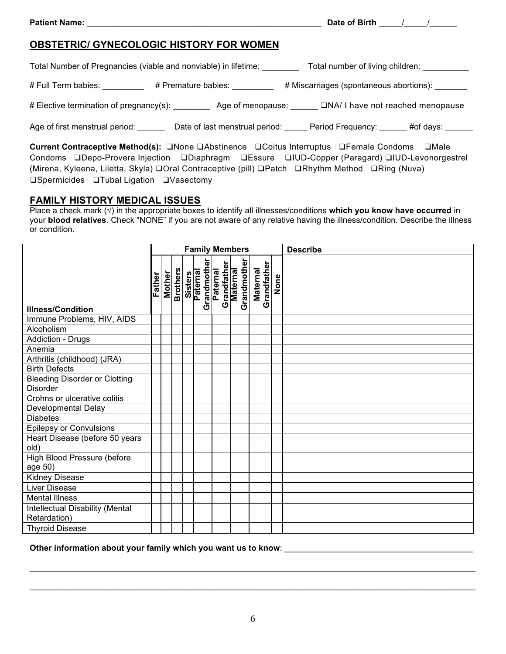# **OBSTETRIC/ GYNECOLOGIC HISTORY FOR WOMEN**

Total Number of Pregnancies (viable and nonviable) in lifetime: Total number of living children:

# Full Term babies: \_\_\_\_\_\_\_\_\_ # Premature babies: \_\_\_\_\_\_\_ # Miscarriages (spontaneous abortions): \_\_\_\_\_\_

# Elective termination of pregnancy(s): \_\_\_\_\_\_\_\_\_\_\_ Age of menopause: \_\_\_\_\_\_ QNA/ I have not reached menopause

Age of first menstrual period: <br> **Date of last menstrual period:** Dete Period: Period Frequency: #of days:

**Current Contraceptive Method(s):** ❑None ❑Abstinence ❑Coitus Interruptus ❑Female Condoms ❑Male Condoms ❑Depo-Provera Injection ❑Diaphragm ❑Essure ❑IUD-Copper (Paragard) ❑IUD-Levonorgestrel (Mirena, Kyleena, Liletta, Skyla) ❑Oral Contraceptive (pill) ❑Patch ❑Rhythm Method ❑Ring (Nuva) ❑Spermicides ❑Tubal Ligation ❑Vasectomy

# **FAMILY HISTORY MEDICAL ISSUES**

Place a check mark (√) in the appropriate boxes to identify all illnesses/conditions **which you know have occurred** in your **blood relatives**. Check "NONE" if you are not aware of any relative having the illness/condition. Describe the illness or condition.

|                                                         | <b>Family Members</b> |               |                 |                     |                         |                         |             | <b>Describe</b> |             |      |  |
|---------------------------------------------------------|-----------------------|---------------|-----------------|---------------------|-------------------------|-------------------------|-------------|-----------------|-------------|------|--|
| <b>Illness/Condition</b>                                | Father                | <b>Mother</b> | <b>Brothers</b> | Sisters<br>Paternal | Grandmother<br>Paternal | Grandfather<br>Maternal | Grandmother | <b>Maternal</b> | Grandfather | None |  |
| Immune Problems, HIV, AIDS                              |                       |               |                 |                     |                         |                         |             |                 |             |      |  |
| Alcoholism                                              |                       |               |                 |                     |                         |                         |             |                 |             |      |  |
| <b>Addiction - Drugs</b>                                |                       |               |                 |                     |                         |                         |             |                 |             |      |  |
| Anemia                                                  |                       |               |                 |                     |                         |                         |             |                 |             |      |  |
| Arthritis (childhood) (JRA)                             |                       |               |                 |                     |                         |                         |             |                 |             |      |  |
| <b>Birth Defects</b>                                    |                       |               |                 |                     |                         |                         |             |                 |             |      |  |
| <b>Bleeding Disorder or Clotting</b><br><b>Disorder</b> |                       |               |                 |                     |                         |                         |             |                 |             |      |  |
| Crohns or ulcerative colitis                            |                       |               |                 |                     |                         |                         |             |                 |             |      |  |
| Developmental Delay                                     |                       |               |                 |                     |                         |                         |             |                 |             |      |  |
| <b>Diabetes</b>                                         |                       |               |                 |                     |                         |                         |             |                 |             |      |  |
| <b>Epilepsy or Convulsions</b>                          |                       |               |                 |                     |                         |                         |             |                 |             |      |  |
| Heart Disease (before 50 years<br>old)                  |                       |               |                 |                     |                         |                         |             |                 |             |      |  |
| High Blood Pressure (before<br>age 50)                  |                       |               |                 |                     |                         |                         |             |                 |             |      |  |
| <b>Kidney Disease</b>                                   |                       |               |                 |                     |                         |                         |             |                 |             |      |  |
| <b>Liver Disease</b>                                    |                       |               |                 |                     |                         |                         |             |                 |             |      |  |
| <b>Mental Illness</b>                                   |                       |               |                 |                     |                         |                         |             |                 |             |      |  |
| Intellectual Disability (Mental<br>Retardation)         |                       |               |                 |                     |                         |                         |             |                 |             |      |  |
| <b>Thyroid Disease</b>                                  |                       |               |                 |                     |                         |                         |             |                 |             |      |  |

**Other information about your family which you want us to know**: \_\_\_\_\_\_\_\_\_\_\_\_\_\_\_\_\_\_\_\_\_\_\_\_\_\_\_\_\_\_\_\_\_\_\_\_\_\_\_\_\_

\_\_\_\_\_\_\_\_\_\_\_\_\_\_\_\_\_\_\_\_\_\_\_\_\_\_\_\_\_\_\_\_\_\_\_\_\_\_\_\_\_\_\_\_\_\_\_\_\_\_\_\_\_\_\_\_\_\_\_\_\_\_\_\_\_\_\_\_\_\_\_\_\_\_\_\_\_\_\_\_\_\_\_\_\_\_\_\_\_\_\_\_\_\_\_\_\_

\_\_\_\_\_\_\_\_\_\_\_\_\_\_\_\_\_\_\_\_\_\_\_\_\_\_\_\_\_\_\_\_\_\_\_\_\_\_\_\_\_\_\_\_\_\_\_\_\_\_\_\_\_\_\_\_\_\_\_\_\_\_\_\_\_\_\_\_\_\_\_\_\_\_\_\_\_\_\_\_\_\_\_\_\_\_\_\_\_\_\_\_\_\_\_\_\_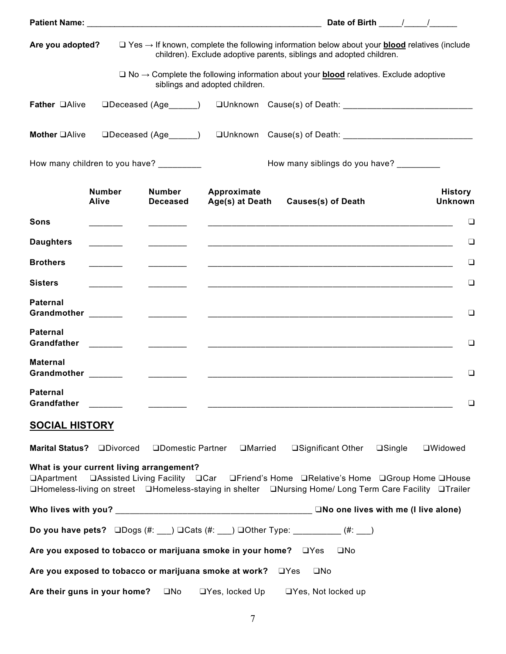|                                                                                                                                                                                                                                                                      |                               |                                                                                                                        |                                                                                                                      |                                          | Date of Birth $\frac{1}{\sqrt{1-\frac{1}{2}}}\frac{1}{\sqrt{1-\frac{1}{2}}\sqrt{1-\frac{1}{2}}\sqrt{1-\frac{1}{2}}\sqrt{1-\frac{1}{2}}$ |                  |                                  |  |
|----------------------------------------------------------------------------------------------------------------------------------------------------------------------------------------------------------------------------------------------------------------------|-------------------------------|------------------------------------------------------------------------------------------------------------------------|----------------------------------------------------------------------------------------------------------------------|------------------------------------------|-----------------------------------------------------------------------------------------------------------------------------------------|------------------|----------------------------------|--|
| Are you adopted?                                                                                                                                                                                                                                                     |                               | $\Box$ Yes $\rightarrow$ If known, complete the following information below about your <b>blood</b> relatives (include | children). Exclude adoptive parents, siblings and adopted children.                                                  |                                          |                                                                                                                                         |                  |                                  |  |
|                                                                                                                                                                                                                                                                      |                               | $\Box$ No $\rightarrow$ Complete the following information about your <b>blood</b> relatives. Exclude adoptive         | siblings and adopted children.                                                                                       |                                          |                                                                                                                                         |                  |                                  |  |
| Father <b>QAlive</b>                                                                                                                                                                                                                                                 |                               | $\Box$ Deceased (Age $\qquad\qquad$ )                                                                                  |                                                                                                                      |                                          |                                                                                                                                         |                  |                                  |  |
| Mother <b>OAlive</b>                                                                                                                                                                                                                                                 |                               | □Deceased (Age______) □Unknown Cause(s) of Death: ______________________________                                       |                                                                                                                      |                                          |                                                                                                                                         |                  |                                  |  |
|                                                                                                                                                                                                                                                                      |                               | How many children to you have? _________                                                                               |                                                                                                                      | How many siblings do you have? _________ |                                                                                                                                         |                  |                                  |  |
|                                                                                                                                                                                                                                                                      | <b>Number</b><br><b>Alive</b> | <b>Number</b><br><b>Deceased</b>                                                                                       | Approximate<br>Age(s) at Death                                                                                       |                                          | <b>Causes(s) of Death</b>                                                                                                               |                  | <b>History</b><br><b>Unknown</b> |  |
| Sons                                                                                                                                                                                                                                                                 |                               |                                                                                                                        |                                                                                                                      |                                          |                                                                                                                                         |                  | □                                |  |
| <b>Daughters</b>                                                                                                                                                                                                                                                     |                               |                                                                                                                        | <u> 1989 - Johann Stoff, amerikansk politiker (d. 1989)</u>                                                          |                                          |                                                                                                                                         |                  | ❏                                |  |
| <b>Brothers</b>                                                                                                                                                                                                                                                      |                               |                                                                                                                        | <u> 1990 - Jan Barbara de Santo III e a contra de la contrada de la contrada de la contrada de la contrada de la</u> |                                          |                                                                                                                                         |                  | ⊔                                |  |
| <b>Sisters</b>                                                                                                                                                                                                                                                       |                               |                                                                                                                        |                                                                                                                      |                                          |                                                                                                                                         |                  | $\Box$                           |  |
| <b>Paternal</b><br>Grandmother <b>Communist Communist Communist Communist Communist Communist Communist Communist Communist Communist Communist Communist Communist Communist Communist Communist Communist Communist Communist Communist Communist</b>              |                               |                                                                                                                        |                                                                                                                      |                                          |                                                                                                                                         |                  | ⊔                                |  |
| <b>Paternal</b><br><b>Grandfather</b>                                                                                                                                                                                                                                |                               |                                                                                                                        |                                                                                                                      |                                          |                                                                                                                                         |                  | □                                |  |
| <b>Maternal</b><br>Grandmother                                                                                                                                                                                                                                       |                               |                                                                                                                        |                                                                                                                      |                                          |                                                                                                                                         |                  | $\Box$                           |  |
| <b>Paternal</b><br><b>Grandfather</b>                                                                                                                                                                                                                                |                               |                                                                                                                        |                                                                                                                      |                                          |                                                                                                                                         |                  |                                  |  |
| <b>SOCIAL HISTORY</b>                                                                                                                                                                                                                                                |                               |                                                                                                                        |                                                                                                                      |                                          |                                                                                                                                         |                  |                                  |  |
| <b>Marital Status?</b>                                                                                                                                                                                                                                               | <b>ODivorced</b>              | □Domestic Partner                                                                                                      | □Married                                                                                                             |                                          | □Significant Other                                                                                                                      | $\square$ Single | <b>OWidowed</b>                  |  |
| What is your current living arrangement?<br><b>QAssisted Living Facility QCar QFriend's Home QRelative's Home QGroup Home QHouse</b><br>□Apartment<br><b>QHomeless-living on street</b> QHomeless-staying in shelter QNursing Home/ Long Term Care Facility QTrailer |                               |                                                                                                                        |                                                                                                                      |                                          |                                                                                                                                         |                  |                                  |  |
|                                                                                                                                                                                                                                                                      |                               |                                                                                                                        |                                                                                                                      |                                          | $\Box$ No one lives with me (I live alone)                                                                                              |                  |                                  |  |
|                                                                                                                                                                                                                                                                      |                               | Do you have pets? $\square$ Dogs (#: __) $\square$ Cats (#: __) $\square$ Other Type: _________(#: __)                 |                                                                                                                      |                                          |                                                                                                                                         |                  |                                  |  |
|                                                                                                                                                                                                                                                                      |                               | Are you exposed to tobacco or marijuana smoke in your home? $\Box$ Yes                                                 |                                                                                                                      |                                          | $\square$ No                                                                                                                            |                  |                                  |  |
|                                                                                                                                                                                                                                                                      |                               | Are you exposed to tobacco or marijuana smoke at work?                                                                 |                                                                                                                      | $\Box$ Yes<br>$\square$ No               |                                                                                                                                         |                  |                                  |  |
| Are their guns in your home?                                                                                                                                                                                                                                         |                               | $\square$ No                                                                                                           | $\Box$ Yes, locked Up                                                                                                |                                          | $\Box$ Yes, Not locked up                                                                                                               |                  |                                  |  |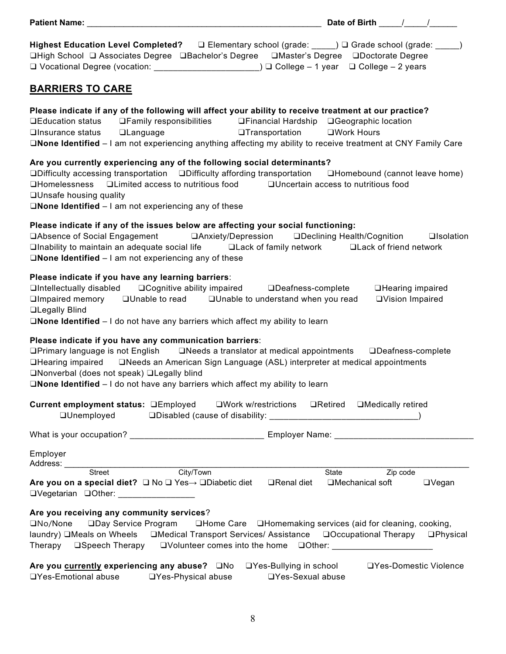| Patient Name: the contract of the contract of the contract of the contract of the contract of the contract of the contract of the contract of the contract of the contract of the contract of the contract of the contract of                                                                                                                                                                        |                                                                              |
|------------------------------------------------------------------------------------------------------------------------------------------------------------------------------------------------------------------------------------------------------------------------------------------------------------------------------------------------------------------------------------------------------|------------------------------------------------------------------------------|
| Highest Education Level Completed? □ Elementary school (grade: ____) □ Grade school (grade: _____)<br>□High School □ Associates Degree □Bachelor's Degree □Master's Degree □Doctorate Degree<br>□ Vocational Degree (vocation: ______________________________) □ College - 1 year  □ College - 2 years                                                                                               |                                                                              |
| <b>BARRIERS TO CARE</b>                                                                                                                                                                                                                                                                                                                                                                              |                                                                              |
| Please indicate if any of the following will affect your ability to receive treatment at our practice?<br>□Education status □Family responsibilities □Financial Hardship □Geographic location<br>□None Identified - I am not experiencing anything affecting my ability to receive treatment at CNY Family Care                                                                                      |                                                                              |
| Are you currently experiencing any of the following social determinants?<br>□Difficulty accessing transportation □Difficulty affording transportation □Homebound (cannot leave home)<br>□Homelessness □Limited access to nutritious food □Uncertain access to nutritious food<br>□Unsafe housing quality<br>$\square$ None Identified $-1$ am not experiencing any of these                          |                                                                              |
| Please indicate if any of the issues below are affecting your social functioning:<br>□Absence of Social Engagement □ Anxiety/Depression □ Declining Health/Cognition<br>$\Box$ Inability to maintain an adequate social life $\Box$ Lack of family network $\Box$ Lack of friend network<br>$\square$ None Identified $-1$ am not experiencing any of these                                          | <b>Q</b> Isolation                                                           |
| Please indicate if you have any learning barriers:<br>$\Box$ Intellectually disabled $\Box$ Cognitive ability impaired $\Box$ Deafness-complete<br>$\square$ Impaired memory $\square$ Unable to read $\square$ Unable to understand when you read<br><b>QLegally Blind</b><br>$\square$ None Identified $-1$ do not have any barriers which affect my ability to learn                              | □Hearing impaired<br>□Vision Impaired                                        |
| Please indicate if you have any communication barriers:<br>□Primary language is not English □Needs a translator at medical appointments □Deafness-complete<br>□Hearing impaired □Needs an American Sign Language (ASL) interpreter at medical appointments<br>□Nonverbal (does not speak) □Legally blind<br>$\square$ None Identified $-1$ do not have any barriers which affect my ability to learn |                                                                              |
| Current employment status: <b>QEmployed</b> QWork w/restrictions QRetired QMedically retired                                                                                                                                                                                                                                                                                                         |                                                                              |
| What is your occupation? _________________________________ Employer Name: _______________________________                                                                                                                                                                                                                                                                                            |                                                                              |
| Employer<br>Address: Street City/Town                                                                                                                                                                                                                                                                                                                                                                |                                                                              |
| Are you on a special diet?<br>□ No □ Yes→  □Diabetic diet  □ Renal diet<br>□Vegetarian □Other: ________________                                                                                                                                                                                                                                                                                      | State<br><b>Example 2</b> Zip code<br>$\Box$ Vegan<br>$\Box$ Mechanical soft |
| Are you receiving any community services?<br>□Day Service Program □Home Care □Homemaking services (aid for cleaning, cooking,<br>$\square$ No/None<br>laundry) □Meals on Wheels   □Medical Transport Services/ Assistance   □Occupational Therapy   □Physical                                                                                                                                        |                                                                              |
| Are you currently experiencing any abuse?<br><u> OYes-Bullying in school</u> <b>OYes-Domestic Violence</b><br>□Yes-Emotional abuse<br>$\square$ Yes-Physical abuse<br>□Yes-Sexual abuse                                                                                                                                                                                                              |                                                                              |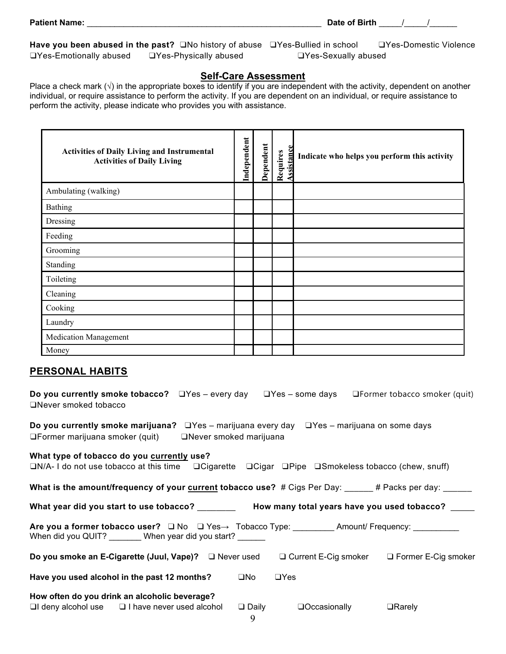|                               | <b>Have you been abused in the past?</b> $\Box$ No history of abuse $\Box$ Yes-Bullied in school |                            | □Yes-Domestic Violence |
|-------------------------------|--------------------------------------------------------------------------------------------------|----------------------------|------------------------|
| $\Box$ Yes-Emotionally abused | $\Box$ Yes-Physically abused                                                                     | $\Box$ Yes-Sexually abused |                        |

**Patient Name:**  $\begin{array}{ccc} \hline \text{P} & \text{P} \end{array}$   $\begin{array}{ccc} \hline \text{D} & \text{D} \end{array}$   $\begin{array}{ccc} \hline \text{D} & \text{D} \end{array}$   $\begin{array}{ccc} \hline \text{D} & \text{A} \end{array}$ 

## **Self-Care Assessment**

Place a check mark  $(\sqrt)$  in the appropriate boxes to identify if you are independent with the activity, dependent on another individual, or require assistance to perform the activity. If you are dependent on an individual, or require assistance to perform the activity, please indicate who provides you with assistance.

| <b>Activities of Daily Living and Instrumental</b><br><b>Activities of Daily Living</b> | Independent | Dependent | ssistance<br>Requires | Indicate who helps you perform this activity |
|-----------------------------------------------------------------------------------------|-------------|-----------|-----------------------|----------------------------------------------|
| Ambulating (walking)                                                                    |             |           |                       |                                              |
| <b>Bathing</b>                                                                          |             |           |                       |                                              |
| Dressing                                                                                |             |           |                       |                                              |
| Feeding                                                                                 |             |           |                       |                                              |
| Grooming                                                                                |             |           |                       |                                              |
| Standing                                                                                |             |           |                       |                                              |
| Toileting                                                                               |             |           |                       |                                              |
| Cleaning                                                                                |             |           |                       |                                              |
| Cooking                                                                                 |             |           |                       |                                              |
| Laundry                                                                                 |             |           |                       |                                              |
| <b>Medication Management</b>                                                            |             |           |                       |                                              |
| Money                                                                                   |             |           |                       |                                              |

## **PERSONAL HABITS**

| <b>Do you currently smoke tobacco?</b> $\Box$ Yes – every day $\Box$ Yes – some days $\Box$ Former tobacco smoker (quit)<br>ONever smoked tobacco                                    |              |                                                                                                                                                                                                                                                                                                                                      |                                                        |
|--------------------------------------------------------------------------------------------------------------------------------------------------------------------------------------|--------------|--------------------------------------------------------------------------------------------------------------------------------------------------------------------------------------------------------------------------------------------------------------------------------------------------------------------------------------|--------------------------------------------------------|
| <b>Do you currently smoke marijuana?</b> $\Box$ Yes – marijuana every day $\Box$ Yes – marijuana on some days<br>$\Box$ Former marijuana smoker (quit) $\Box$ Never smoked marijuana |              |                                                                                                                                                                                                                                                                                                                                      |                                                        |
| What type of tobacco do you currently use?<br>$\Box N/A$ - I do not use tobacco at this time $\Box$ Cigarette $\Box$ Cigar $\Box$ Pipe $\Box$ Smokeless tobacco (chew, snuff)        |              |                                                                                                                                                                                                                                                                                                                                      |                                                        |
| What is the amount/frequency of your current tobacco use? # Cigs Per Day: _____# Packs per day: _____                                                                                |              |                                                                                                                                                                                                                                                                                                                                      |                                                        |
| What year did you start to use tobacco? __________ How many total years have you used tobacco? ____                                                                                  |              |                                                                                                                                                                                                                                                                                                                                      |                                                        |
| Are you a former tobacco user? □ No □ Yes→ Tobacco Type: __________ Amount/ Frequency: __________<br>When did you QUIT? _______ When year did you start? ______                      |              |                                                                                                                                                                                                                                                                                                                                      |                                                        |
| Do you smoke an E-Cigarette (Juul, Vape)? □ Never used                                                                                                                               |              |                                                                                                                                                                                                                                                                                                                                      | $\Box$ Current E-Cig smoker $\Box$ Former E-Cig smoker |
| Have you used alcohol in the past 12 months?                                                                                                                                         | $\square$ No | $\Box$ Yes                                                                                                                                                                                                                                                                                                                           |                                                        |
| How often do you drink an alcoholic beverage?<br>$\Box$ I deny alcohol use $\Box$ I have never used alcohol                                                                          |              | $\Box$ Daily $\Box$ Occasionally<br>$\mathbf{A}$ and $\mathbf{A}$ and $\mathbf{A}$ and $\mathbf{A}$ and $\mathbf{A}$ and $\mathbf{A}$ and $\mathbf{A}$ and $\mathbf{A}$ and $\mathbf{A}$ and $\mathbf{A}$ and $\mathbf{A}$ and $\mathbf{A}$ and $\mathbf{A}$ and $\mathbf{A}$ and $\mathbf{A}$ and $\mathbf{A}$ and $\mathbf{A}$ and | $\Box$ Rarely                                          |